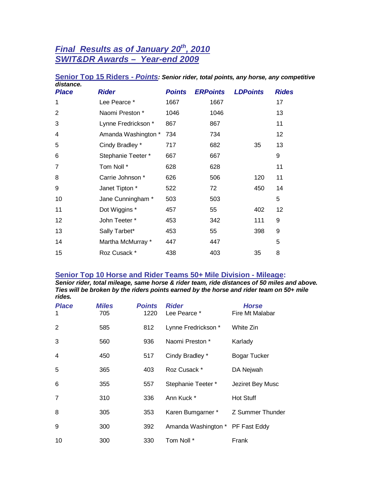## *Final Results as of January 20th, 2010 SWIT&DR Awards – Year-end 2009*

| distance.      |                     |               |                 |                 |              |
|----------------|---------------------|---------------|-----------------|-----------------|--------------|
| <b>Place</b>   | <b>Rider</b>        | <b>Points</b> | <b>ERPoints</b> | <b>LDPoints</b> | <b>Rides</b> |
| 1              | Lee Pearce *        | 1667          | 1667            |                 | 17           |
| $\overline{2}$ | Naomi Preston *     | 1046          | 1046            |                 | 13           |
| 3              | Lynne Fredrickson * | 867           | 867             |                 | 11           |
| 4              | Amanda Washington * | 734           | 734             |                 | 12           |
| 5              | Cindy Bradley *     | 717           | 682             | 35              | 13           |
| 6              | Stephanie Teeter*   | 667           | 667             |                 | 9            |
| 7              | Tom Noll *          | 628           | 628             |                 | 11           |
| 8              | Carrie Johnson *    | 626           | 506             | 120             | 11           |
| 9              | Janet Tipton *      | 522           | 72              | 450             | 14           |
| 10             | Jane Cunningham *   | 503           | 503             |                 | 5            |
| 11             | Dot Wiggins *       | 457           | 55              | 402             | 12           |
| 12             | John Teeter *       | 453           | 342             | 111             | 9            |
| 13             | Sally Tarbet*       | 453           | 55              | 398             | 9            |
| 14             | Martha McMurray *   | 447           | 447             |                 | 5            |
| 15             | Roz Cusack *        | 438           | 403             | 35              | 8            |
|                |                     |               |                 |                 |              |

# **Senior Top 15 Riders -** *Points: Senior rider, total points, any horse, any competitive*

## **Senior Top 10 Horse and Rider Teams 50+ Mile Division - Mileage:**

*Senior rider, total mileage, same horse & rider team, ride distances of 50 miles and above. Ties will be broken by the riders points earned by the horse and rider team on 50+ mile rides.*

| <b>Place</b><br>1 | <b>Miles</b><br>705 | <b>Points</b><br>1220 | <b>Rider</b><br>Lee Pearce * | <b>Horse</b><br>Fire Mt Malabar |
|-------------------|---------------------|-----------------------|------------------------------|---------------------------------|
| 2                 | 585                 | 812                   | Lynne Fredrickson *          | White Zin                       |
| 3                 | 560                 | 936                   | Naomi Preston *              | Karlady                         |
| 4                 | 450                 | 517                   | Cindy Bradley *              | <b>Bogar Tucker</b>             |
| 5                 | 365                 | 403                   | Roz Cusack *                 | DA Nejwah                       |
| 6                 | 355                 | 557                   | Stephanie Teeter*            | Jeziret Bey Musc                |
| $\overline{7}$    | 310                 | 336                   | Ann Kuck *                   | <b>Hot Stuff</b>                |
| 8                 | 305                 | 353                   | Karen Bumgarner *            | Z Summer Thunder                |
| 9                 | 300                 | 392                   | Amanda Washington *          | PF Fast Eddy                    |
| 10                | 300                 | 330                   | Tom Noll *                   | Frank                           |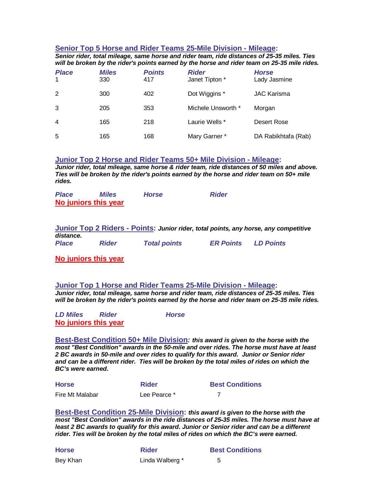#### **Senior Top 5 Horse and Rider Teams 25-Mile Division - Mileage:**

*Senior rider, total mileage, same horse and rider team, ride distances of 25-35 miles. Ties will be broken by the rider's points earned by the horse and rider team on 25-35 mile rides.*

| <b>Place</b><br>$\mathbf 1$ | <b>Miles</b><br>330 | <b>Points</b><br>417 | <b>Rider</b><br>Janet Tipton * | <b>Horse</b><br>Lady Jasmine |
|-----------------------------|---------------------|----------------------|--------------------------------|------------------------------|
| 2                           | 300                 | 402                  | Dot Wiggins *                  | <b>JAC Karisma</b>           |
| 3                           | 205                 | 353                  | Michele Unsworth *             | Morgan                       |
| $\overline{4}$              | 165                 | 218                  | Laurie Wells *                 | Desert Rose                  |
| 5                           | 165                 | 168                  | Mary Garner *                  | DA Rabikhtafa (Rab)          |

#### **Junior Top 2 Horse and Rider Teams 50+ Mile Division - Mileage:**

*Junior rider, total mileage, same horse & rider team, ride distances of 50 miles and above. Ties will be broken by the rider's points earned by the horse and rider team on 50+ mile rides.*

| <b>Place</b>         | <b>Miles</b> | <b>Horse</b> | <b>Rider</b> |
|----------------------|--------------|--------------|--------------|
| No juniors this year |              |              |              |

|              |              | Junior Top 2 Riders - Points: Junior rider, total points, any horse, any competitive |                  |                  |
|--------------|--------------|--------------------------------------------------------------------------------------|------------------|------------------|
| distance.    |              |                                                                                      |                  |                  |
| <b>Place</b> | <b>Rider</b> | <b>Total points</b>                                                                  | <b>ER Points</b> | <b>LD Points</b> |

**No juniors this year**

**Junior Top 1 Horse and Rider Teams 25-Mile Division - Mileage:** *Junior rider, total mileage, same horse and rider team, ride distances of 25-35 miles. Ties will be broken by the rider's points earned by the horse and rider team on 25-35 mile rides.*

*LD Miles Rider Horse*  **No juniors this year**

**Best-Best Condition 50+ Mile Division***: this award is given to the horse with the most "Best Condition" awards in the 50-mile and over rides. The horse must have at least 2 BC awards in 50-mile and over rides to qualify for this award. Junior or Senior rider and can be a different rider. Ties will be broken by the total miles of rides on which the BC's were earned.*

| <b>Horse</b>    | <b>Rider</b> | <b>Best Conditions</b> |
|-----------------|--------------|------------------------|
| Fire Mt Malabar | Lee Pearce * |                        |

**Best-Best Condition 25-Mile Division:** *this award is given to the horse with the most "Best Condition" awards in the ride distances of 25-35 miles. The horse must have at least 2 BC awards to qualify for this award. Junior or Senior rider and can be a different rider. Ties will be broken by the total miles of rides on which the BC's were earned.*

| <b>Horse</b> | <b>Rider</b>    | <b>Best Conditions</b> |
|--------------|-----------------|------------------------|
| Bey Khan     | Linda Walberg * |                        |